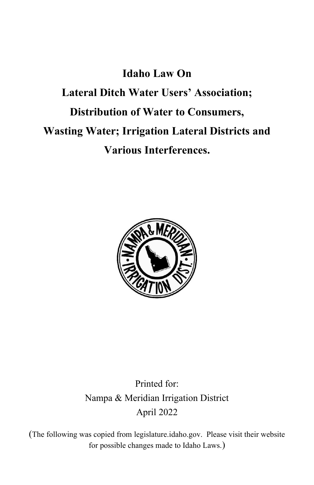# **Idaho Law On Lateral Ditch Water Users' Association; Distribution of Water to Consumers, Wasting Water; Irrigation Lateral Districts and Various Interferences.**



# Printed for: Nampa & Meridian Irrigation District April 2022

(The following was copied from legislature.idaho.gov. Please visit their website for possible changes made to Idaho Laws.)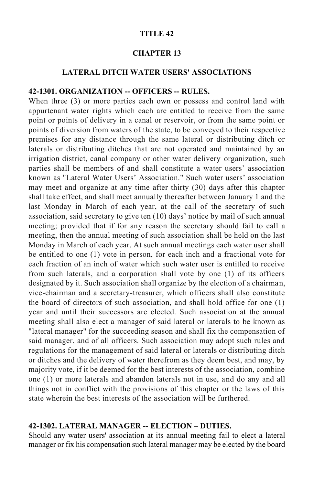#### **TITLE 42**

# **CHAPTER 13**

#### **LATERAL DITCH WATER USERS' ASSOCIATIONS**

#### **42-1301. ORGANIZATION -- OFFICERS -- RULES.**

When three (3) or more parties each own or possess and control land with appurtenant water rights which each are entitled to receive from the same point or points of delivery in a canal or reservoir, or from the same point or points of diversion from waters of the state, to be conveyed to their respective premises for any distance through the same lateral or distributing ditch or laterals or distributing ditches that are not operated and maintained by an irrigation district, canal company or other water delivery organization, such parties shall be members of and shall constitute a water users' association known as "Lateral Water Users' Association." Such water users' association may meet and organize at any time after thirty (30) days after this chapter shall take effect, and shall meet annually thereafter between January 1 and the last Monday in March of each year, at the call of the secretary of such association, said secretary to give ten (10) days' notice by mail of such annual meeting; provided that if for any reason the secretary should fail to call a meeting, then the annual meeting of such association shall be held on the last Monday in March of each year. At such annual meetings each water user shall be entitled to one (1) vote in person, for each inch and a fractional vote for each fraction of an inch of water which such water user is entitled to receive from such laterals, and a corporation shall vote by one (1) of its officers designated by it. Such association shall organize by the election of a chairman, vice-chairman and a secretary-treasurer, which officers shall also constitute the board of directors of such association, and shall hold office for one (1) year and until their successors are elected. Such association at the annual meeting shall also elect a manager of said lateral or laterals to be known as "lateral manager" for the succeeding season and shall fix the compensation of said manager, and of all officers. Such association may adopt such rules and regulations for the management of said lateral or laterals or distributing ditch or ditches and the delivery of water therefrom as they deem best, and may, by majority vote, if it be deemed for the best interests of the association, combine one (1) or more laterals and abandon laterals not in use, and do any and all things not in conflict with the provisions of this chapter or the laws of this state wherein the best interests of the association will be furthered.

### **42-1302. LATERAL MANAGER -- ELECTION – DUTIES.**

Should any water users' association at its annual meeting fail to elect a lateral manager or fix his compensation such lateral manager may be elected by the board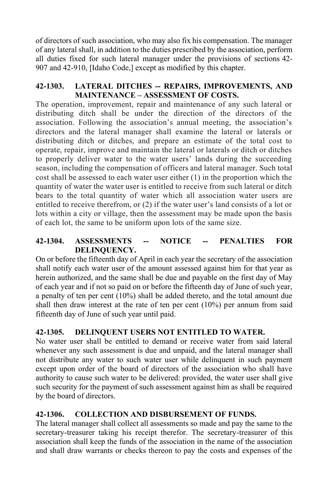of directors of such association, who may also fix his compensation. The manager of any lateral shall, in addition to the duties prescribed by the association, perform all duties fixed for such lateral manager under the provisions of sections 42- 907 and 42-910, [Idaho Code,] except as modified by this chapter.

# **42-1303. LATERAL DITCHES -- REPAIRS, IMPROVEMENTS, AND MAINTENANCE – ASSESSMENT OF COSTS.**

The operation, improvement, repair and maintenance of any such lateral or distributing ditch shall be under the direction of the directors of the association. Following the association's annual meeting, the association's directors and the lateral manager shall examine the lateral or laterals or distributing ditch or ditches, and prepare an estimate of the total cost to operate, repair, improve and maintain the lateral or laterals or ditch or ditches to properly deliver water to the water users' lands during the succeeding season, including the compensation of officers and lateral manager. Such total cost shall be assessed to each water user either (1) in the proportion which the quantity of water the water user is entitled to receive from such lateral or ditch bears to the total quantity of water which all association water users are entitled to receive therefrom, or (2) if the water user's land consists of a lot or lots within a city or village, then the assessment may be made upon the basis of each lot, the same to be uniform upon lots of the same size.

# **42-1304. ASSESSMENTS -- NOTICE -- PENALTIES FOR DELINQUENCY.**

On or before the fifteenth day of April in each year the secretary of the association shall notify each water user of the amount assessed against him for that year as herein authorized, and the same shall be due and payable on the first day of May of each year and if not so paid on or before the fifteenth day of June of such year, a penalty of ten per cent (10%) shall be added thereto, and the total amount due shall then draw interest at the rate of ten per cent (10%) per annum from said fifteenth day of June of such year until paid.

# **42-1305. DELINQUENT USERS NOT ENTITLED TO WATER.**

No water user shall be entitled to demand or receive water from said lateral whenever any such assessment is due and unpaid, and the lateral manager shall not distribute any water to such water user while delinquent in such payment except upon order of the board of directors of the association who shall have authority to cause such water to be delivered: provided, the water user shall give such security for the payment of such assessment against him as shall be required by the board of directors.

# **42-1306. COLLECTION AND DISBURSEMENT OF FUNDS.**

The lateral manager shall collect all assessments so made and pay the same to the secretary-treasurer taking his receipt therefor. The secretary-treasurer of this association shall keep the funds of the association in the name of the association and shall draw warrants or checks thereon to pay the costs and expenses of the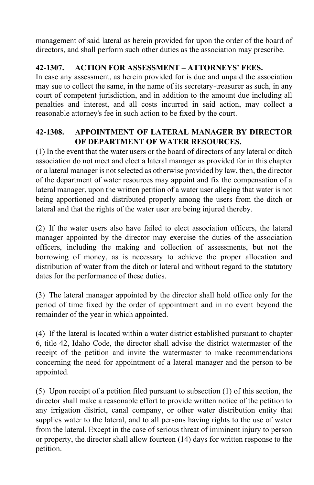management of said lateral as herein provided for upon the order of the board of directors, and shall perform such other duties as the association may prescribe.

# **42-1307. ACTION FOR ASSESSMENT – ATTORNEYS' FEES.**

In case any assessment, as herein provided for is due and unpaid the association may sue to collect the same, in the name of its secretary-treasurer as such, in any court of competent jurisdiction, and in addition to the amount due including all penalties and interest, and all costs incurred in said action, may collect a reasonable attorney's fee in such action to be fixed by the court.

# **42-1308. APPOINTMENT OF LATERAL MANAGER BY DIRECTOR OF DEPARTMENT OF WATER RESOURCES.**

(1) In the event that the water users or the board of directors of any lateral or ditch association do not meet and elect a lateral manager as provided for in this chapter or a lateral manager is not selected as otherwise provided by law, then, the director of the department of water resources may appoint and fix the compensation of a lateral manager, upon the written petition of a water user alleging that water is not being apportioned and distributed properly among the users from the ditch or lateral and that the rights of the water user are being injured thereby.

(2) If the water users also have failed to elect association officers, the lateral manager appointed by the director may exercise the duties of the association officers, including the making and collection of assessments, but not the borrowing of money, as is necessary to achieve the proper allocation and distribution of water from the ditch or lateral and without regard to the statutory dates for the performance of these duties.

(3) The lateral manager appointed by the director shall hold office only for the period of time fixed by the order of appointment and in no event beyond the remainder of the year in which appointed.

(4) If the lateral is located within a water district established pursuant to chapter 6, title 42, Idaho Code, the director shall advise the district watermaster of the receipt of the petition and invite the watermaster to make recommendations concerning the need for appointment of a lateral manager and the person to be appointed.

(5) Upon receipt of a petition filed pursuant to subsection (1) of this section, the director shall make a reasonable effort to provide written notice of the petition to any irrigation district, canal company, or other water distribution entity that supplies water to the lateral, and to all persons having rights to the use of water from the lateral. Except in the case of serious threat of imminent injury to person or property, the director shall allow fourteen (14) days for written response to the petition.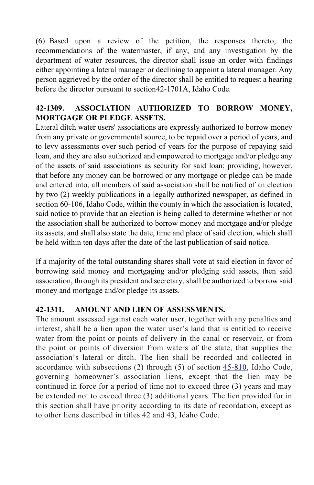(6) Based upon a review of the petition, the responses thereto, the recommendations of the watermaster, if any, and any investigation by the department of water resources, the director shall issue an order with findings either appointing a lateral manager or declining to appoint a lateral manager. Any person aggrieved by the order of the director shall be entitled to request a hearing before the director pursuant to section42-1701A, Idaho Code.

# **42-1309. ASSOCIATION AUTHORIZED TO BORROW MONEY, MORTGAGE OR PLEDGE ASSETS.**

Lateral ditch water users' associations are expressly authorized to borrow money from any private or governmental source, to be repaid over a period of years, and to levy assessments over such period of years for the purpose of repaying said loan, and they are also authorized and empowered to mortgage and/or pledge any of the assets of said associations as security for said loan; providing, however, that before any money can be borrowed or any mortgage or pledge can be made and entered into, all members of said association shall be notified of an election by two (2) weekly publications in a legally authorized newspaper, as defined in section 60-106, Idaho Code, within the county in which the association is located, said notice to provide that an election is being called to determine whether or not the association shall be authorized to borrow money and mortgage and/or pledge its assets, and shall also state the date, time and place of said election, which shall be held within ten days after the date of the last publication of said notice.

If a majority of the total outstanding shares shall vote at said election in favor of borrowing said money and mortgaging and/or pledging said assets, then said association, through its president and secretary, shall be authorized to borrow said money and mortgage and/or pledge its assets.

# **42-1311. AMOUNT AND LIEN OF ASSESSMENTS.**

The amount assessed against each water user, together with any penalties and interest, shall be a lien upon the water user's land that is entitled to receive water from the point or points of delivery in the canal or reservoir, or from the point or points of diversion from waters of the state, that supplies the association's lateral or ditch. The lien shall be recorded and collected in accordance with subsections (2) through (5) of section 45-810, Idaho Code, governing homeowner's association liens, except that the lien may be continued in force for a period of time not to exceed three (3) years and may be extended not to exceed three (3) additional years. The lien provided for in this section shall have priority according to its date of recordation, except as to other liens described in titles 42 and 43, Idaho Code.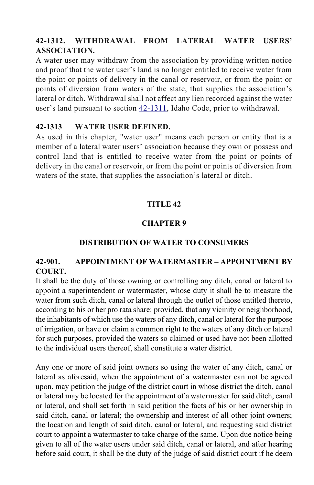# **42-1312. WITHDRAWAL FROM LATERAL WATER USERS' ASSOCIATION.**

A water user may withdraw from the association by providing written notice and proof that the water user's land is no longer entitled to receive water from the point or points of delivery in the canal or reservoir, or from the point or points of diversion from waters of the state, that supplies the association's lateral or ditch. Withdrawal shall not affect any lien recorded against the water user's land pursuant to section 42-1311, Idaho Code, prior to withdrawal.

#### **42-1313 WATER USER DEFINED.**

As used in this chapter, "water user" means each person or entity that is a member of a lateral water users' association because they own or possess and control land that is entitled to receive water from the point or points of delivery in the canal or reservoir, or from the point or points of diversion from waters of the state, that supplies the association's lateral or ditch.

# **TITLE 42**

# **CHAPTER 9**

# **DISTRIBUTION OF WATER TO CONSUMERS**

# **42-901. APPOINTMENT OF WATERMASTER – APPOINTMENT BY COURT.**

It shall be the duty of those owning or controlling any ditch, canal or lateral to appoint a superintendent or watermaster, whose duty it shall be to measure the water from such ditch, canal or lateral through the outlet of those entitled thereto, according to his or her pro rata share: provided, that any vicinity or neighborhood, the inhabitants of which use the waters of any ditch, canal or lateral for the purpose of irrigation, or have or claim a common right to the waters of any ditch or lateral for such purposes, provided the waters so claimed or used have not been allotted to the individual users thereof, shall constitute a water district.

Any one or more of said joint owners so using the water of any ditch, canal or lateral as aforesaid, when the appointment of a watermaster can not be agreed upon, may petition the judge of the district court in whose district the ditch, canal or lateral may be located for the appointment of a watermaster for said ditch, canal or lateral, and shall set forth in said petition the facts of his or her ownership in said ditch, canal or lateral; the ownership and interest of all other joint owners; the location and length of said ditch, canal or lateral, and requesting said district court to appoint a watermaster to take charge of the same. Upon due notice being given to all of the water users under said ditch, canal or lateral, and after hearing before said court, it shall be the duty of the judge of said district court if he deem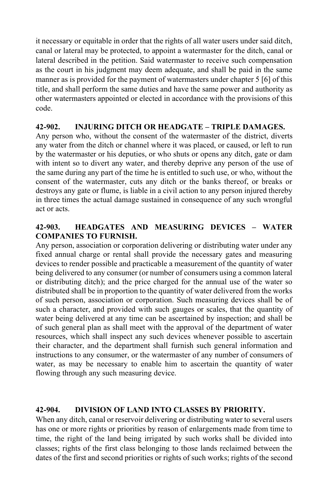it necessary or equitable in order that the rights of all water users under said ditch, canal or lateral may be protected, to appoint a watermaster for the ditch, canal or lateral described in the petition. Said watermaster to receive such compensation as the court in his judgment may deem adequate, and shall be paid in the same manner as is provided for the payment of watermasters under chapter 5 [6] of this title, and shall perform the same duties and have the same power and authority as other watermasters appointed or elected in accordance with the provisions of this code.

#### **42-902. INJURING DITCH OR HEADGATE – TRIPLE DAMAGES.**

Any person who, without the consent of the watermaster of the district, diverts any water from the ditch or channel where it was placed, or caused, or left to run by the watermaster or his deputies, or who shuts or opens any ditch, gate or dam with intent so to divert any water, and thereby deprive any person of the use of the same during any part of the time he is entitled to such use, or who, without the consent of the watermaster, cuts any ditch or the banks thereof, or breaks or destroys any gate or flume, is liable in a civil action to any person injured thereby in three times the actual damage sustained in consequence of any such wrongful act or acts.

# **42-903. HEADGATES AND MEASURING DEVICES – WATER COMPANIES TO FURNISH.**

Any person, association or corporation delivering or distributing water under any fixed annual charge or rental shall provide the necessary gates and measuring devices to render possible and practicable a measurement of the quantity of water being delivered to any consumer (or number of consumers using a common lateral or distributing ditch); and the price charged for the annual use of the water so distributed shall be in proportion to the quantity of water delivered from the works of such person, association or corporation. Such measuring devices shall be of such a character, and provided with such gauges or scales, that the quantity of water being delivered at any time can be ascertained by inspection; and shall be of such general plan as shall meet with the approval of the department of water resources, which shall inspect any such devices whenever possible to ascertain their character, and the department shall furnish such general information and instructions to any consumer, or the watermaster of any number of consumers of water, as may be necessary to enable him to ascertain the quantity of water flowing through any such measuring device.

#### **42-904. DIVISION OF LAND INTO CLASSES BY PRIORITY.**

When any ditch, canal or reservoir delivering or distributing water to several users has one or more rights or priorities by reason of enlargements made from time to time, the right of the land being irrigated by such works shall be divided into classes; rights of the first class belonging to those lands reclaimed between the dates of the first and second priorities or rights of such works; rights of the second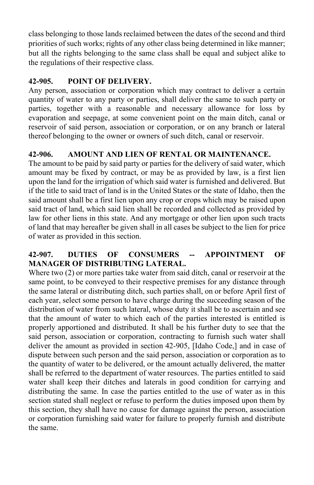class belonging to those lands reclaimed between the dates of the second and third priorities of such works; rights of any other class being determined in like manner; but all the rights belonging to the same class shall be equal and subject alike to the regulations of their respective class.

# **42-905. POINT OF DELIVERY.**

Any person, association or corporation which may contract to deliver a certain quantity of water to any party or parties, shall deliver the same to such party or parties, together with a reasonable and necessary allowance for loss by evaporation and seepage, at some convenient point on the main ditch, canal or reservoir of said person, association or corporation, or on any branch or lateral thereof belonging to the owner or owners of such ditch, canal or reservoir.

# **42-906. AMOUNT AND LIEN OF RENTAL OR MAINTENANCE.**

The amount to be paid by said party or parties for the delivery of said water, which amount may be fixed by contract, or may be as provided by law, is a first lien upon the land for the irrigation of which said water is furnished and delivered. But if the title to said tract of land is in the United States or the state of Idaho, then the said amount shall be a first lien upon any crop or crops which may be raised upon said tract of land, which said lien shall be recorded and collected as provided by law for other liens in this state. And any mortgage or other lien upon such tracts of land that may hereafter be given shall in all cases be subject to the lien for price of water as provided in this section.

# **42-907. DUTIES OF CONSUMERS -- APPOINTMENT OF MANAGER OF DISTRIBUTING LATERAL.**

Where two (2) or more parties take water from said ditch, canal or reservoir at the same point, to be conveyed to their respective premises for any distance through the same lateral or distributing ditch, such parties shall, on or before April first of each year, select some person to have charge during the succeeding season of the distribution of water from such lateral, whose duty it shall be to ascertain and see that the amount of water to which each of the parties interested is entitled is properly apportioned and distributed. It shall be his further duty to see that the said person, association or corporation, contracting to furnish such water shall deliver the amount as provided in section 42-905, [Idaho Code,] and in case of dispute between such person and the said person, association or corporation as to the quantity of water to be delivered, or the amount actually delivered, the matter shall be referred to the department of water resources. The parties entitled to said water shall keep their ditches and laterals in good condition for carrying and distributing the same. In case the parties entitled to the use of water as in this section stated shall neglect or refuse to perform the duties imposed upon them by this section, they shall have no cause for damage against the person, association or corporation furnishing said water for failure to properly furnish and distribute the same.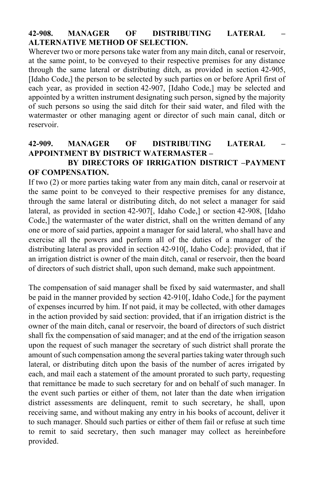# **42-908. MANAGER OF DISTRIBUTING LATERAL – ALTERNATIVE METHOD OF SELECTION.**

Wherever two or more persons take water from any main ditch, canal or reservoir, at the same point, to be conveyed to their respective premises for any distance through the same lateral or distributing ditch, as provided in section 42-905, [Idaho Code,] the person to be selected by such parties on or before April first of each year, as provided in section 42-907, [Idaho Code,] may be selected and appointed by a written instrument designating such person, signed by the majority of such persons so using the said ditch for their said water, and filed with the watermaster or other managing agent or director of such main canal, ditch or reservoir.

### **42-909. MANAGER OF DISTRIBUTING LATERAL – APPOINTMENT BY DISTRICT WATERMASTER – BY DIRECTORS OF IRRIGATION DISTRICT –PAYMENT**

# **OF COMPENSATION.**

If two (2) or more parties taking water from any main ditch, canal or reservoir at the same point to be conveyed to their respective premises for any distance, through the same lateral or distributing ditch, do not select a manager for said lateral, as provided in section 42-907[, Idaho Code,] or section 42-908, [Idaho Code,] the watermaster of the water district, shall on the written demand of any one or more of said parties, appoint a manager for said lateral, who shall have and exercise all the powers and perform all of the duties of a manager of the distributing lateral as provided in section 42-910[, Idaho Code]: provided, that if an irrigation district is owner of the main ditch, canal or reservoir, then the board of directors of such district shall, upon such demand, make such appointment.

The compensation of said manager shall be fixed by said watermaster, and shall be paid in the manner provided by section 42-910[, Idaho Code,] for the payment of expenses incurred by him. If not paid, it may be collected, with other damages in the action provided by said section: provided, that if an irrigation district is the owner of the main ditch, canal or reservoir, the board of directors of such district shall fix the compensation of said manager; and at the end of the irrigation season upon the request of such manager the secretary of such district shall prorate the amount of such compensation among the several parties taking water through such lateral, or distributing ditch upon the basis of the number of acres irrigated by each, and mail each a statement of the amount prorated to such party, requesting that remittance be made to such secretary for and on behalf of such manager. In the event such parties or either of them, not later than the date when irrigation district assessments are delinquent, remit to such secretary, he shall, upon receiving same, and without making any entry in his books of account, deliver it to such manager. Should such parties or either of them fail or refuse at such time to remit to said secretary, then such manager may collect as hereinbefore provided.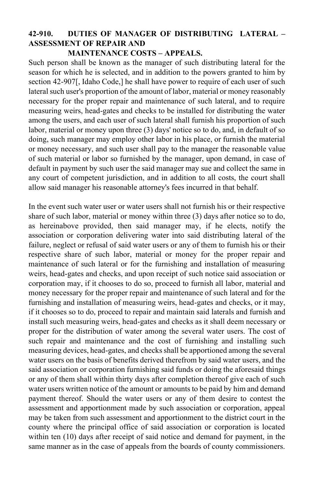# **42-910. DUTIES OF MANAGER OF DISTRIBUTING LATERAL – ASSESSMENT OF REPAIR AND**

#### **MAINTENANCE COSTS – APPEALS.**

Such person shall be known as the manager of such distributing lateral for the season for which he is selected, and in addition to the powers granted to him by section 42-907[, Idaho Code,] he shall have power to require of each user of such lateral such user's proportion of the amount of labor, material or money reasonably necessary for the proper repair and maintenance of such lateral, and to require measuring weirs, head-gates and checks to be installed for distributing the water among the users, and each user of such lateral shall furnish his proportion of such labor, material or money upon three (3) days' notice so to do, and, in default of so doing, such manager may employ other labor in his place, or furnish the material or money necessary, and such user shall pay to the manager the reasonable value of such material or labor so furnished by the manager, upon demand, in case of default in payment by such user the said manager may sue and collect the same in any court of competent jurisdiction, and in addition to all costs, the court shall allow said manager his reasonable attorney's fees incurred in that behalf.

In the event such water user or water users shall not furnish his or their respective share of such labor, material or money within three (3) days after notice so to do, as hereinabove provided, then said manager may, if he elects, notify the association or corporation delivering water into said distributing lateral of the failure, neglect or refusal of said water users or any of them to furnish his or their respective share of such labor, material or money for the proper repair and maintenance of such lateral or for the furnishing and installation of measuring weirs, head-gates and checks, and upon receipt of such notice said association or corporation may, if it chooses to do so, proceed to furnish all labor, material and money necessary for the proper repair and maintenance of such lateral and for the furnishing and installation of measuring weirs, head-gates and checks, or it may, if it chooses so to do, proceed to repair and maintain said laterals and furnish and install such measuring weirs, head-gates and checks as it shall deem necessary or proper for the distribution of water among the several water users. The cost of such repair and maintenance and the cost of furnishing and installing such measuring devices, head-gates, and checks shall be apportioned among the several water users on the basis of benefits derived therefrom by said water users, and the said association or corporation furnishing said funds or doing the aforesaid things or any of them shall within thirty days after completion thereof give each of such water users written notice of the amount or amounts to be paid by him and demand payment thereof. Should the water users or any of them desire to contest the assessment and apportionment made by such association or corporation, appeal may be taken from such assessment and apportionment to the district court in the county where the principal office of said association or corporation is located within ten (10) days after receipt of said notice and demand for payment, in the same manner as in the case of appeals from the boards of county commissioners.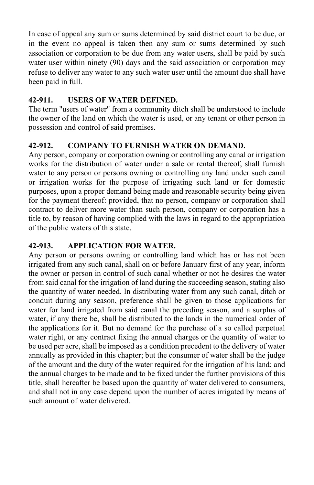In case of appeal any sum or sums determined by said district court to be due, or in the event no appeal is taken then any sum or sums determined by such association or corporation to be due from any water users, shall be paid by such water user within ninety (90) days and the said association or corporation may refuse to deliver any water to any such water user until the amount due shall have been paid in full.

# **42-911. USERS OF WATER DEFINED.**

The term "users of water" from a community ditch shall be understood to include the owner of the land on which the water is used, or any tenant or other person in possession and control of said premises.

# **42-912. COMPANY TO FURNISH WATER ON DEMAND.**

Any person, company or corporation owning or controlling any canal or irrigation works for the distribution of water under a sale or rental thereof, shall furnish water to any person or persons owning or controlling any land under such canal or irrigation works for the purpose of irrigating such land or for domestic purposes, upon a proper demand being made and reasonable security being given for the payment thereof: provided, that no person, company or corporation shall contract to deliver more water than such person, company or corporation has a title to, by reason of having complied with the laws in regard to the appropriation of the public waters of this state.

# **42-913. APPLICATION FOR WATER.**

Any person or persons owning or controlling land which has or has not been irrigated from any such canal, shall on or before January first of any year, inform the owner or person in control of such canal whether or not he desires the water from said canal for the irrigation of land during the succeeding season, stating also the quantity of water needed. In distributing water from any such canal, ditch or conduit during any season, preference shall be given to those applications for water for land irrigated from said canal the preceding season, and a surplus of water, if any there be, shall be distributed to the lands in the numerical order of the applications for it. But no demand for the purchase of a so called perpetual water right, or any contract fixing the annual charges or the quantity of water to be used per acre, shall be imposed as a condition precedent to the delivery of water annually as provided in this chapter; but the consumer of water shall be the judge of the amount and the duty of the water required for the irrigation of his land; and the annual charges to be made and to be fixed under the further provisions of this title, shall hereafter be based upon the quantity of water delivered to consumers, and shall not in any case depend upon the number of acres irrigated by means of such amount of water delivered.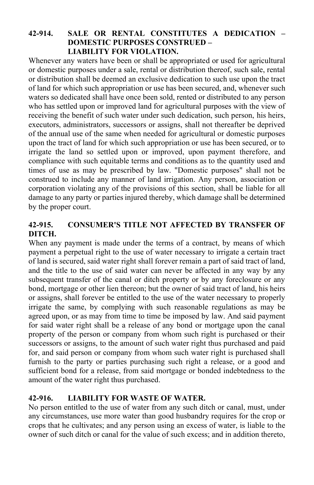### **42-914. SALE OR RENTAL CONSTITUTES A DEDICATION – DOMESTIC PURPOSES CONSTRUED – LIABILITY FOR VIOLATION.**

Whenever any waters have been or shall be appropriated or used for agricultural or domestic purposes under a sale, rental or distribution thereof, such sale, rental or distribution shall be deemed an exclusive dedication to such use upon the tract of land for which such appropriation or use has been secured, and, whenever such waters so dedicated shall have once been sold, rented or distributed to any person who has settled upon or improved land for agricultural purposes with the view of receiving the benefit of such water under such dedication, such person, his heirs, executors, administrators, successors or assigns, shall not thereafter be deprived of the annual use of the same when needed for agricultural or domestic purposes upon the tract of land for which such appropriation or use has been secured, or to irrigate the land so settled upon or improved, upon payment therefore, and compliance with such equitable terms and conditions as to the quantity used and times of use as may be prescribed by law. "Domestic purposes" shall not be construed to include any manner of land irrigation. Any person, association or corporation violating any of the provisions of this section, shall be liable for all damage to any party or parties injured thereby, which damage shall be determined by the proper court.

# **42-915. CONSUMER'S TITLE NOT AFFECTED BY TRANSFER OF DITCH.**

When any payment is made under the terms of a contract, by means of which payment a perpetual right to the use of water necessary to irrigate a certain tract of land is secured, said water right shall forever remain a part of said tract of land, and the title to the use of said water can never be affected in any way by any subsequent transfer of the canal or ditch property or by any foreclosure or any bond, mortgage or other lien thereon; but the owner of said tract of land, his heirs or assigns, shall forever be entitled to the use of the water necessary to properly irrigate the same, by complying with such reasonable regulations as may be agreed upon, or as may from time to time be imposed by law. And said payment for said water right shall be a release of any bond or mortgage upon the canal property of the person or company from whom such right is purchased or their successors or assigns, to the amount of such water right thus purchased and paid for, and said person or company from whom such water right is purchased shall furnish to the party or parties purchasing such right a release, or a good and sufficient bond for a release, from said mortgage or bonded indebtedness to the amount of the water right thus purchased.

# **42-916. LIABILITY FOR WASTE OF WATER.**

No person entitled to the use of water from any such ditch or canal, must, under any circumstances, use more water than good husbandry requires for the crop or crops that he cultivates; and any person using an excess of water, is liable to the owner of such ditch or canal for the value of such excess; and in addition thereto,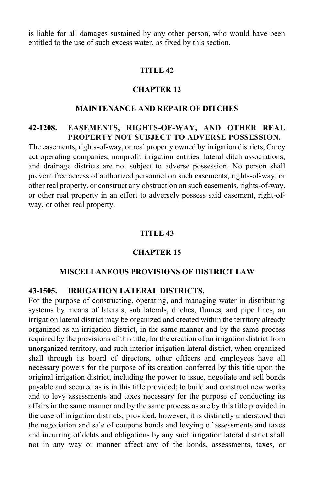is liable for all damages sustained by any other person, who would have been entitled to the use of such excess water, as fixed by this section.

#### **TITLE 42**

#### **CHAPTER 12**

#### **MAINTENANCE AND REPAIR OF DITCHES**

# **42-1208. EASEMENTS, RIGHTS-OF-WAY, AND OTHER REAL PROPERTY NOT SUBJECT TO ADVERSE POSSESSION.**

The easements, rights-of-way, or real property owned by irrigation districts, Carey act operating companies, nonprofit irrigation entities, lateral ditch associations, and drainage districts are not subject to adverse possession. No person shall prevent free access of authorized personnel on such easements, rights-of-way, or other real property, or construct any obstruction on such easements, rights-of-way, or other real property in an effort to adversely possess said easement, right-ofway, or other real property.

#### **TITLE 43**

#### **CHAPTER 15**

#### **MISCELLANEOUS PROVISIONS OF DISTRICT LAW**

#### **43-1505. IRRIGATION LATERAL DISTRICTS.**

For the purpose of constructing, operating, and managing water in distributing systems by means of laterals, sub laterals, ditches, flumes, and pipe lines, an irrigation lateral district may be organized and created within the territory already organized as an irrigation district, in the same manner and by the same process required by the provisions of this title, for the creation of an irrigation district from unorganized territory, and such interior irrigation lateral district, when organized shall through its board of directors, other officers and employees have all necessary powers for the purpose of its creation conferred by this title upon the original irrigation district, including the power to issue, negotiate and sell bonds payable and secured as is in this title provided; to build and construct new works and to levy assessments and taxes necessary for the purpose of conducting its affairs in the same manner and by the same process as are by this title provided in the case of irrigation districts; provided, however, it is distinctly understood that the negotiation and sale of coupons bonds and levying of assessments and taxes and incurring of debts and obligations by any such irrigation lateral district shall not in any way or manner affect any of the bonds, assessments, taxes, or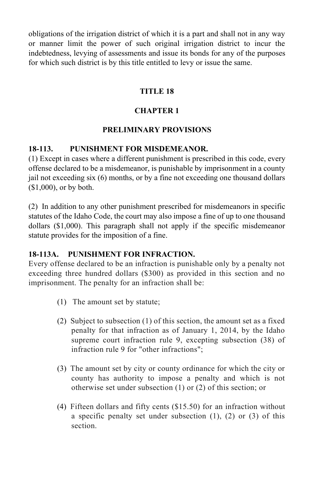obligations of the irrigation district of which it is a part and shall not in any way or manner limit the power of such original irrigation district to incur the indebtedness, levying of assessments and issue its bonds for any of the purposes for which such district is by this title entitled to levy or issue the same.

# **TITLE 18**

# **CHAPTER 1**

# **PRELIMINARY PROVISIONS**

# **18-113. PUNISHMENT FOR MISDEMEANOR.**

(1) Except in cases where a different punishment is prescribed in this code, every offense declared to be a misdemeanor, is punishable by imprisonment in a county jail not exceeding six (6) months, or by a fine not exceeding one thousand dollars (\$1,000), or by both.

(2) In addition to any other punishment prescribed for misdemeanors in specific statutes of the Idaho Code, the court may also impose a fine of up to one thousand dollars (\$1,000). This paragraph shall not apply if the specific misdemeanor statute provides for the imposition of a fine.

# **18-113A. PUNISHMENT FOR INFRACTION.**

Every offense declared to be an infraction is punishable only by a penalty not exceeding three hundred dollars (\$300) as provided in this section and no imprisonment. The penalty for an infraction shall be:

- (1) The amount set by statute;
- (2) Subject to subsection (1) of this section, the amount set as a fixed penalty for that infraction as of January 1, 2014, by the Idaho supreme court infraction rule 9, excepting subsection (38) of infraction rule 9 for "other infractions";
- (3) The amount set by city or county ordinance for which the city or county has authority to impose a penalty and which is not otherwise set under subsection (1) or (2) of this section; or
- (4) Fifteen dollars and fifty cents (\$15.50) for an infraction without a specific penalty set under subsection (1), (2) or (3) of this section.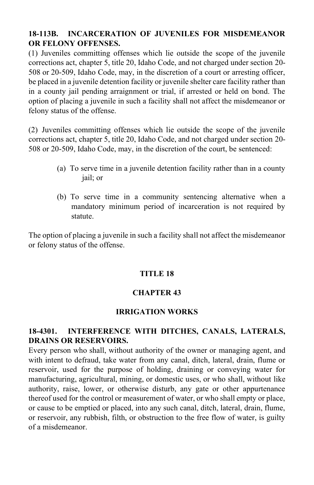# **18-113B. INCARCERATION OF JUVENILES FOR MISDEMEANOR OR FELONY OFFENSES.**

(1) Juveniles committing offenses which lie outside the scope of the juvenile corrections act, chapter 5, title 20, Idaho Code, and not charged under section 20- 508 or 20-509, Idaho Code, may, in the discretion of a court or arresting officer, be placed in a juvenile detention facility or juvenile shelter care facility rather than in a county jail pending arraignment or trial, if arrested or held on bond. The option of placing a juvenile in such a facility shall not affect the misdemeanor or felony status of the offense.

(2) Juveniles committing offenses which lie outside the scope of the juvenile corrections act, chapter 5, title 20, Idaho Code, and not charged under section 20- 508 or 20-509, Idaho Code, may, in the discretion of the court, be sentenced:

- (a) To serve time in a juvenile detention facility rather than in a county jail; or
- (b) To serve time in a community sentencing alternative when a mandatory minimum period of incarceration is not required by statute.

The option of placing a juvenile in such a facility shall not affect the misdemeanor or felony status of the offense.

# **TITLE 18**

# **CHAPTER 43**

#### **IRRIGATION WORKS**

#### **18-4301. INTERFERENCE WITH DITCHES, CANALS, LATERALS, DRAINS OR RESERVOIRS.**

Every person who shall, without authority of the owner or managing agent, and with intent to defraud, take water from any canal, ditch, lateral, drain, flume or reservoir, used for the purpose of holding, draining or conveying water for manufacturing, agricultural, mining, or domestic uses, or who shall, without like authority, raise, lower, or otherwise disturb, any gate or other appurtenance thereof used for the control or measurement of water, or who shall empty or place, or cause to be emptied or placed, into any such canal, ditch, lateral, drain, flume, or reservoir, any rubbish, filth, or obstruction to the free flow of water, is guilty of a misdemeanor.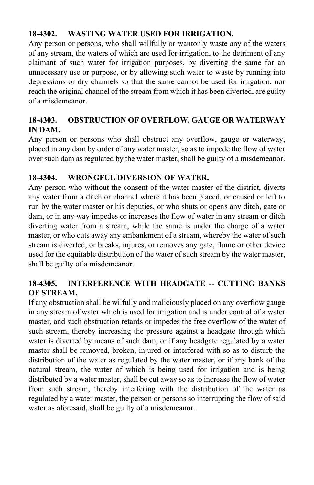# **18-4302. WASTING WATER USED FOR IRRIGATION.**

Any person or persons, who shall willfully or wantonly waste any of the waters of any stream, the waters of which are used for irrigation, to the detriment of any claimant of such water for irrigation purposes, by diverting the same for an unnecessary use or purpose, or by allowing such water to waste by running into depressions or dry channels so that the same cannot be used for irrigation, nor reach the original channel of the stream from which it has been diverted, are guilty of a misdemeanor.

# **18-4303. OBSTRUCTION OF OVERFLOW, GAUGE OR WATERWAY IN DAM.**

Any person or persons who shall obstruct any overflow, gauge or waterway, placed in any dam by order of any water master, so as to impede the flow of water over such dam as regulated by the water master, shall be guilty of a misdemeanor.

# **18-4304. WRONGFUL DIVERSION OF WATER.**

Any person who without the consent of the water master of the district, diverts any water from a ditch or channel where it has been placed, or caused or left to run by the water master or his deputies, or who shuts or opens any ditch, gate or dam, or in any way impedes or increases the flow of water in any stream or ditch diverting water from a stream, while the same is under the charge of a water master, or who cuts away any embankment of a stream, whereby the water of such stream is diverted, or breaks, injures, or removes any gate, flume or other device used for the equitable distribution of the water of such stream by the water master, shall be guilty of a misdemeanor.

# **18-4305. INTERFERENCE WITH HEADGATE -- CUTTING BANKS OF STREAM.**

If any obstruction shall be wilfully and maliciously placed on any overflow gauge in any stream of water which is used for irrigation and is under control of a water master, and such obstruction retards or impedes the free overflow of the water of such stream, thereby increasing the pressure against a headgate through which water is diverted by means of such dam, or if any headgate regulated by a water master shall be removed, broken, injured or interfered with so as to disturb the distribution of the water as regulated by the water master, or if any bank of the natural stream, the water of which is being used for irrigation and is being distributed by a water master, shall be cut away so as to increase the flow of water from such stream, thereby interfering with the distribution of the water as regulated by a water master, the person or persons so interrupting the flow of said water as aforesaid, shall be guilty of a misdemeanor.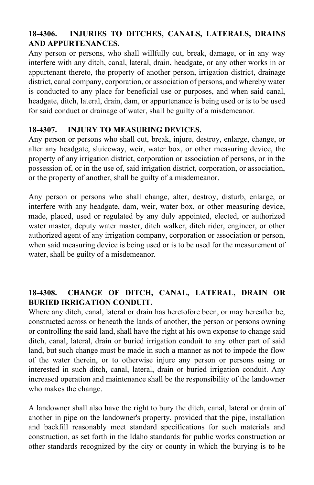# **18-4306. INJURIES TO DITCHES, CANALS, LATERALS, DRAINS AND APPURTENANCES.**

Any person or persons, who shall willfully cut, break, damage, or in any way interfere with any ditch, canal, lateral, drain, headgate, or any other works in or appurtenant thereto, the property of another person, irrigation district, drainage district, canal company, corporation, or association of persons, and whereby water is conducted to any place for beneficial use or purposes, and when said canal, headgate, ditch, lateral, drain, dam, or appurtenance is being used or is to be used for said conduct or drainage of water, shall be guilty of a misdemeanor.

# **18-4307. INJURY TO MEASURING DEVICES.**

Any person or persons who shall cut, break, injure, destroy, enlarge, change, or alter any headgate, sluiceway, weir, water box, or other measuring device, the property of any irrigation district, corporation or association of persons, or in the possession of, or in the use of, said irrigation district, corporation, or association, or the property of another, shall be guilty of a misdemeanor.

Any person or persons who shall change, alter, destroy, disturb, enlarge, or interfere with any headgate, dam, weir, water box, or other measuring device, made, placed, used or regulated by any duly appointed, elected, or authorized water master, deputy water master, ditch walker, ditch rider, engineer, or other authorized agent of any irrigation company, corporation or association or person, when said measuring device is being used or is to be used for the measurement of water, shall be guilty of a misdemeanor.

# **18-4308. CHANGE OF DITCH, CANAL, LATERAL, DRAIN OR BURIED IRRIGATION CONDUIT.**

Where any ditch, canal, lateral or drain has heretofore been, or may hereafter be, constructed across or beneath the lands of another, the person or persons owning or controlling the said land, shall have the right at his own expense to change said ditch, canal, lateral, drain or buried irrigation conduit to any other part of said land, but such change must be made in such a manner as not to impede the flow of the water therein, or to otherwise injure any person or persons using or interested in such ditch, canal, lateral, drain or buried irrigation conduit. Any increased operation and maintenance shall be the responsibility of the landowner who makes the change.

A landowner shall also have the right to bury the ditch, canal, lateral or drain of another in pipe on the landowner's property, provided that the pipe, installation and backfill reasonably meet standard specifications for such materials and construction, as set forth in the Idaho standards for public works construction or other standards recognized by the city or county in which the burying is to be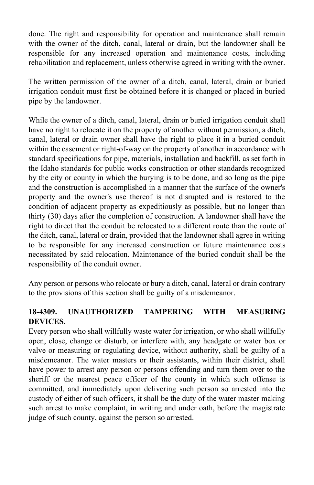done. The right and responsibility for operation and maintenance shall remain with the owner of the ditch, canal, lateral or drain, but the landowner shall be responsible for any increased operation and maintenance costs, including rehabilitation and replacement, unless otherwise agreed in writing with the owner.

The written permission of the owner of a ditch, canal, lateral, drain or buried irrigation conduit must first be obtained before it is changed or placed in buried pipe by the landowner.

While the owner of a ditch, canal, lateral, drain or buried irrigation conduit shall have no right to relocate it on the property of another without permission, a ditch, canal, lateral or drain owner shall have the right to place it in a buried conduit within the easement or right-of-way on the property of another in accordance with standard specifications for pipe, materials, installation and backfill, as set forth in the Idaho standards for public works construction or other standards recognized by the city or county in which the burying is to be done, and so long as the pipe and the construction is accomplished in a manner that the surface of the owner's property and the owner's use thereof is not disrupted and is restored to the condition of adjacent property as expeditiously as possible, but no longer than thirty (30) days after the completion of construction. A landowner shall have the right to direct that the conduit be relocated to a different route than the route of the ditch, canal, lateral or drain, provided that the landowner shall agree in writing to be responsible for any increased construction or future maintenance costs necessitated by said relocation. Maintenance of the buried conduit shall be the responsibility of the conduit owner.

Any person or persons who relocate or bury a ditch, canal, lateral or drain contrary to the provisions of this section shall be guilty of a misdemeanor.

# **18-4309. UNAUTHORIZED TAMPERING WITH MEASURING DEVICES.**

Every person who shall willfully waste water for irrigation, or who shall willfully open, close, change or disturb, or interfere with, any headgate or water box or valve or measuring or regulating device, without authority, shall be guilty of a misdemeanor. The water masters or their assistants, within their district, shall have power to arrest any person or persons offending and turn them over to the sheriff or the nearest peace officer of the county in which such offense is committed, and immediately upon delivering such person so arrested into the custody of either of such officers, it shall be the duty of the water master making such arrest to make complaint, in writing and under oath, before the magistrate judge of such county, against the person so arrested.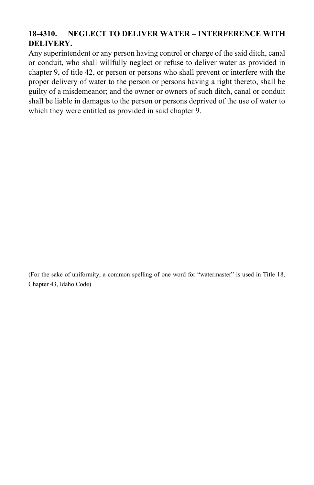# **18-4310. NEGLECT TO DELIVER WATER – INTERFERENCE WITH DELIVERY.**

Any superintendent or any person having control or charge of the said ditch, canal or conduit, who shall willfully neglect or refuse to deliver water as provided in chapter 9, of title 42, or person or persons who shall prevent or interfere with the proper delivery of water to the person or persons having a right thereto, shall be guilty of a misdemeanor; and the owner or owners of such ditch, canal or conduit shall be liable in damages to the person or persons deprived of the use of water to which they were entitled as provided in said chapter 9.

(For the sake of uniformity, a common spelling of one word for "watermaster" is used in Title 18, Chapter 43, Idaho Code)